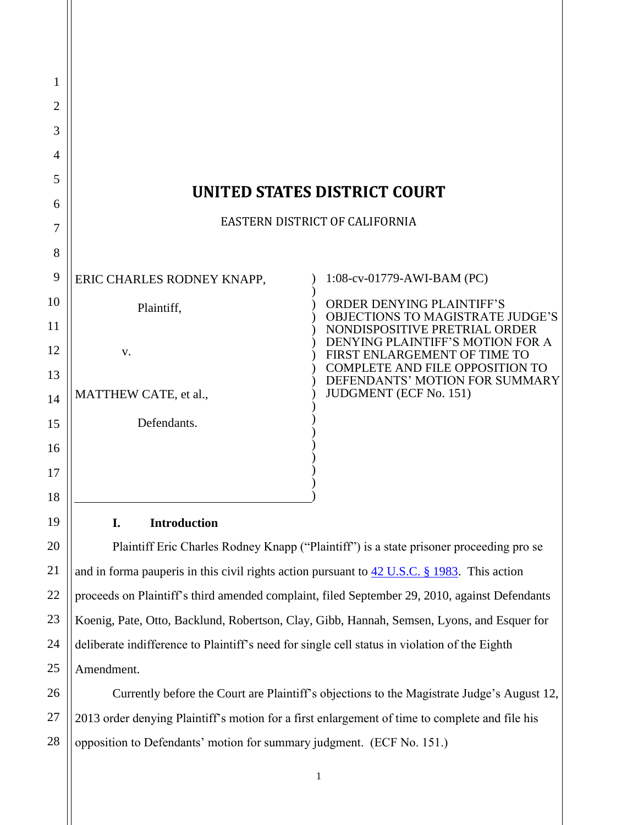| 1  |                                     |                                                                          |
|----|-------------------------------------|--------------------------------------------------------------------------|
| 2  |                                     |                                                                          |
| 3  |                                     |                                                                          |
| 4  |                                     |                                                                          |
| 5  | <b>UNITED STATES DISTRICT COURT</b> |                                                                          |
| 6  |                                     |                                                                          |
| 7  | EASTERN DISTRICT OF CALIFORNIA      |                                                                          |
| 8  |                                     |                                                                          |
| 9  | ERIC CHARLES RODNEY KNAPP,          | 1:08-cv-01779-AWI-BAM (PC)                                               |
| 10 | Plaintiff,                          | <b>ORDER DENYING PLAINTIFF'S</b>                                         |
| 11 |                                     | <b>OBJECTIONS TO MAGISTRATE JUDGE'S</b><br>NONDISPOSITIVE PRETRIAL ORDER |
| 12 | V.                                  | DENYING PLAINTIFF'S MOTION FOR A<br>FIRST ENLARGEMENT OF TIME TO         |
| 13 |                                     | COMPLETE AND FILE OPPOSITION TO<br>DEFENDANTS' MOTION FOR SUMMARY        |
| 14 | MATTHEW CATE, et al.,               | <b>JUDGMENT</b> (ECF No. 151)                                            |
| 15 | Defendants.                         |                                                                          |
| 16 |                                     |                                                                          |
| 17 |                                     |                                                                          |
| 18 |                                     |                                                                          |

## **I. Introduction**

19

20

21

22

23

24

25

Plaintiff Eric Charles Rodney Knapp ("Plaintiff") is a state prisoner proceeding pro se and in forma pauperis in this civil rights action pursuant to [42 U.S.C. § 1983.](http://westlaw.com/find/default.wl?ft=L&docname=42USCAS1983&rs=btil2.0&rp=%2ffind%2fdefault.wl&fn=_top&findtype=L&vr=2.0&db=1000546&wbtoolsId=42USCAS1983&HistoryType=F) This action proceeds on Plaintiff"s third amended complaint, filed September 29, 2010, against Defendants Koenig, Pate, Otto, Backlund, Robertson, Clay, Gibb, Hannah, Semsen, Lyons, and Esquer for deliberate indifference to Plaintiff"s need for single cell status in violation of the Eighth Amendment.

26 27 28 Currently before the Court are Plaintiff"s objections to the Magistrate Judge"s August 12, 2013 order denying Plaintiff"s motion for a first enlargement of time to complete and file his opposition to Defendants" motion for summary judgment. (ECF No. 151.)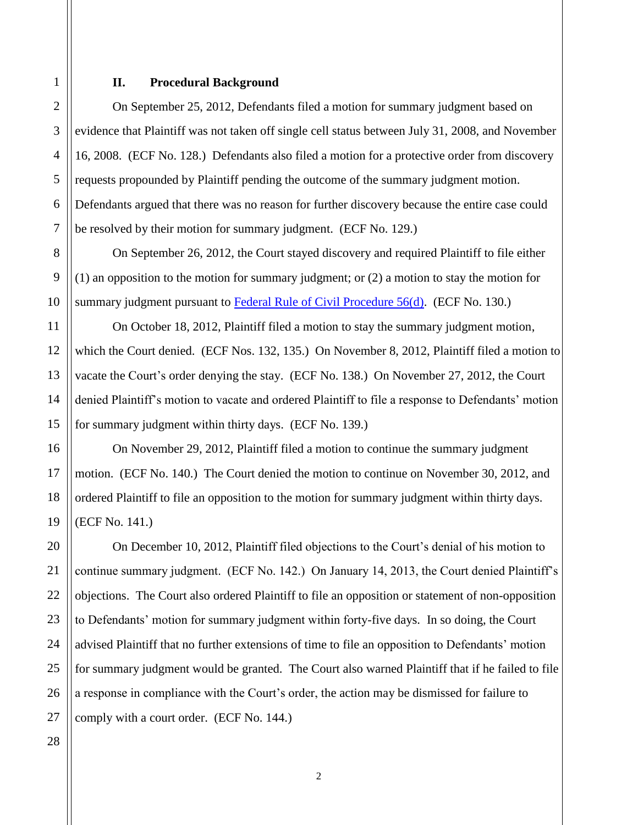## **II. Procedural Background**

On September 25, 2012, Defendants filed a motion for summary judgment based on evidence that Plaintiff was not taken off single cell status between July 31, 2008, and November 16, 2008. (ECF No. 128.) Defendants also filed a motion for a protective order from discovery requests propounded by Plaintiff pending the outcome of the summary judgment motion. Defendants argued that there was no reason for further discovery because the entire case could be resolved by their motion for summary judgment. (ECF No. 129.)

On September 26, 2012, the Court stayed discovery and required Plaintiff to file either (1) an opposition to the motion for summary judgment; or (2) a motion to stay the motion for summary judgment pursuant to Federal Rule of Civil Procedure  $56(d)$ . (ECF No. 130.)

On October 18, 2012, Plaintiff filed a motion to stay the summary judgment motion, which the Court denied. (ECF Nos. 132, 135.) On November 8, 2012, Plaintiff filed a motion to vacate the Court"s order denying the stay. (ECF No. 138.) On November 27, 2012, the Court denied Plaintiff's motion to vacate and ordered Plaintiff to file a response to Defendants' motion for summary judgment within thirty days. (ECF No. 139.)

On November 29, 2012, Plaintiff filed a motion to continue the summary judgment motion. (ECF No. 140.) The Court denied the motion to continue on November 30, 2012, and ordered Plaintiff to file an opposition to the motion for summary judgment within thirty days. (ECF No. 141.)

On December 10, 2012, Plaintiff filed objections to the Court"s denial of his motion to continue summary judgment. (ECF No. 142.) On January 14, 2013, the Court denied Plaintiff"s objections. The Court also ordered Plaintiff to file an opposition or statement of non-opposition to Defendants' motion for summary judgment within forty-five days. In so doing, the Court advised Plaintiff that no further extensions of time to file an opposition to Defendants" motion for summary judgment would be granted. The Court also warned Plaintiff that if he failed to file a response in compliance with the Court's order, the action may be dismissed for failure to comply with a court order. (ECF No. 144.)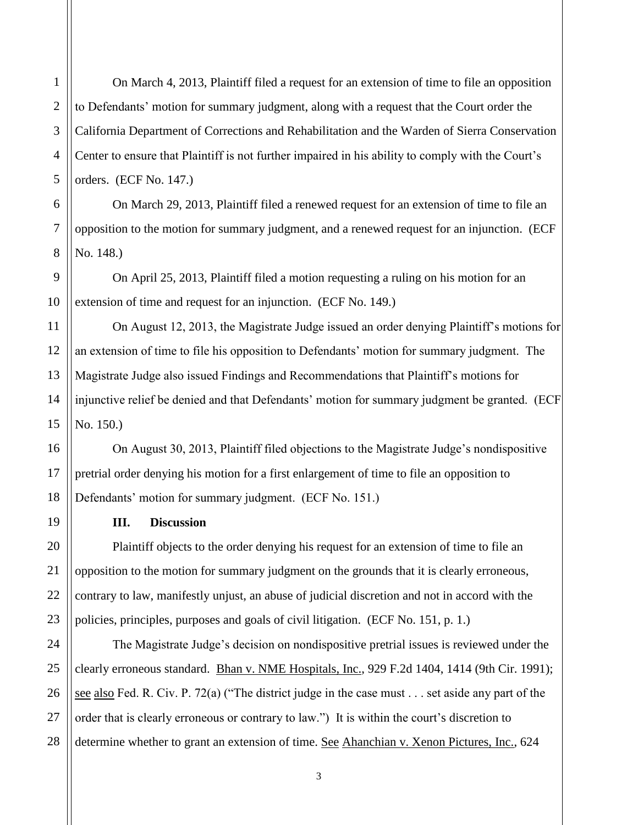On March 4, 2013, Plaintiff filed a request for an extension of time to file an opposition to Defendants" motion for summary judgment, along with a request that the Court order the California Department of Corrections and Rehabilitation and the Warden of Sierra Conservation Center to ensure that Plaintiff is not further impaired in his ability to comply with the Court's orders. (ECF No. 147.)

On March 29, 2013, Plaintiff filed a renewed request for an extension of time to file an opposition to the motion for summary judgment, and a renewed request for an injunction. (ECF No. 148.)

On April 25, 2013, Plaintiff filed a motion requesting a ruling on his motion for an extension of time and request for an injunction. (ECF No. 149.)

On August 12, 2013, the Magistrate Judge issued an order denying Plaintiff"s motions for an extension of time to file his opposition to Defendants" motion for summary judgment. The Magistrate Judge also issued Findings and Recommendations that Plaintiff"s motions for injunctive relief be denied and that Defendants' motion for summary judgment be granted. (ECF No. 150.)

On August 30, 2013, Plaintiff filed objections to the Magistrate Judge"s nondispositive pretrial order denying his motion for a first enlargement of time to file an opposition to Defendants' motion for summary judgment. (ECF No. 151.)

## **III. Discussion**

Plaintiff objects to the order denying his request for an extension of time to file an opposition to the motion for summary judgment on the grounds that it is clearly erroneous, contrary to law, manifestly unjust, an abuse of judicial discretion and not in accord with the policies, principles, purposes and goals of civil litigation. (ECF No. 151, p. 1.)

The Magistrate Judge"s decision on nondispositive pretrial issues is reviewed under the clearly erroneous standard. Bhan v. NME Hospitals, Inc., 929 F.2d 1404, 1414 (9th Cir. 1991); see also Fed. R. Civ. P. 72(a) ("The district judge in the case must . . . set aside any part of the order that is clearly erroneous or contrary to law.") It is within the court's discretion to determine whether to grant an extension of time. See Ahanchian v. Xenon Pictures, Inc., 624

1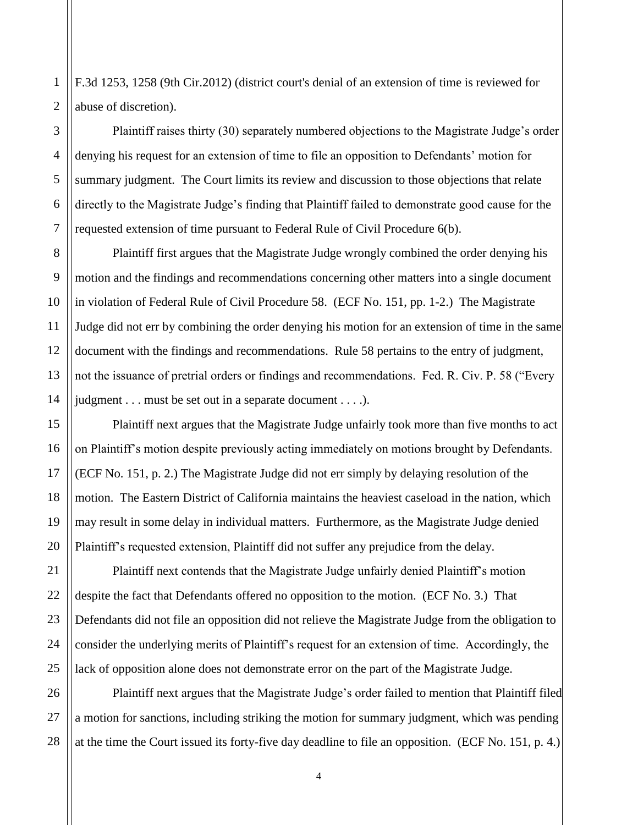F.3d 1253, 1258 (9th Cir.2012) (district court's denial of an extension of time is reviewed for abuse of discretion).

Plaintiff raises thirty (30) separately numbered objections to the Magistrate Judge"s order denying his request for an extension of time to file an opposition to Defendants" motion for summary judgment. The Court limits its review and discussion to those objections that relate directly to the Magistrate Judge"s finding that Plaintiff failed to demonstrate good cause for the requested extension of time pursuant to Federal Rule of Civil Procedure 6(b).

Plaintiff first argues that the Magistrate Judge wrongly combined the order denying his motion and the findings and recommendations concerning other matters into a single document in violation of Federal Rule of Civil Procedure 58. (ECF No. 151, pp. 1-2.) The Magistrate Judge did not err by combining the order denying his motion for an extension of time in the same document with the findings and recommendations. Rule 58 pertains to the entry of judgment, not the issuance of pretrial orders or findings and recommendations. Fed. R. Civ. P. 58 ("Every judgment . . . must be set out in a separate document . . . .).

Plaintiff next argues that the Magistrate Judge unfairly took more than five months to act on Plaintiff"s motion despite previously acting immediately on motions brought by Defendants. (ECF No. 151, p. 2.) The Magistrate Judge did not err simply by delaying resolution of the motion. The Eastern District of California maintains the heaviest caseload in the nation, which may result in some delay in individual matters. Furthermore, as the Magistrate Judge denied Plaintiff"s requested extension, Plaintiff did not suffer any prejudice from the delay.

Plaintiff next contends that the Magistrate Judge unfairly denied Plaintiff"s motion despite the fact that Defendants offered no opposition to the motion. (ECF No. 3.) That Defendants did not file an opposition did not relieve the Magistrate Judge from the obligation to consider the underlying merits of Plaintiff"s request for an extension of time. Accordingly, the lack of opposition alone does not demonstrate error on the part of the Magistrate Judge.

Plaintiff next argues that the Magistrate Judge"s order failed to mention that Plaintiff filed a motion for sanctions, including striking the motion for summary judgment, which was pending at the time the Court issued its forty-five day deadline to file an opposition. (ECF No. 151, p. 4.)

1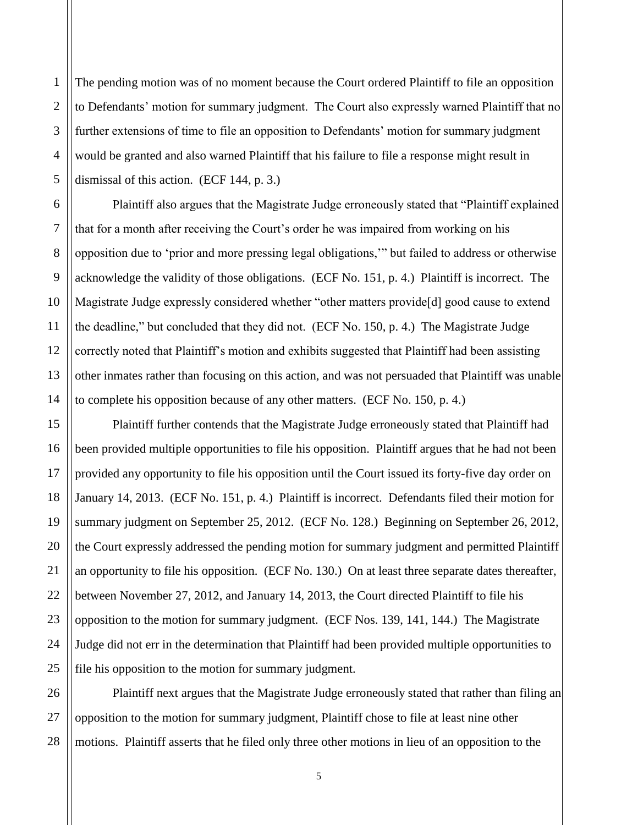2 3 4 5 The pending motion was of no moment because the Court ordered Plaintiff to file an opposition to Defendants" motion for summary judgment. The Court also expressly warned Plaintiff that no further extensions of time to file an opposition to Defendants' motion for summary judgment would be granted and also warned Plaintiff that his failure to file a response might result in dismissal of this action. (ECF 144, p. 3.)

1

6

7

8

9

10

11

12

13

14

15

16

17

18

19

20

21

22

23

24

25

Plaintiff also argues that the Magistrate Judge erroneously stated that "Plaintiff explained that for a month after receiving the Court's order he was impaired from working on his opposition due to "prior and more pressing legal obligations,"" but failed to address or otherwise acknowledge the validity of those obligations. (ECF No. 151, p. 4.) Plaintiff is incorrect. The Magistrate Judge expressly considered whether "other matters provide[d] good cause to extend the deadline," but concluded that they did not. (ECF No. 150, p. 4.) The Magistrate Judge correctly noted that Plaintiff"s motion and exhibits suggested that Plaintiff had been assisting other inmates rather than focusing on this action, and was not persuaded that Plaintiff was unable to complete his opposition because of any other matters. (ECF No. 150, p. 4.)

Plaintiff further contends that the Magistrate Judge erroneously stated that Plaintiff had been provided multiple opportunities to file his opposition. Plaintiff argues that he had not been provided any opportunity to file his opposition until the Court issued its forty-five day order on January 14, 2013. (ECF No. 151, p. 4.) Plaintiff is incorrect. Defendants filed their motion for summary judgment on September 25, 2012. (ECF No. 128.) Beginning on September 26, 2012, the Court expressly addressed the pending motion for summary judgment and permitted Plaintiff an opportunity to file his opposition. (ECF No. 130.) On at least three separate dates thereafter, between November 27, 2012, and January 14, 2013, the Court directed Plaintiff to file his opposition to the motion for summary judgment. (ECF Nos. 139, 141, 144.) The Magistrate Judge did not err in the determination that Plaintiff had been provided multiple opportunities to file his opposition to the motion for summary judgment.

26 27 28 Plaintiff next argues that the Magistrate Judge erroneously stated that rather than filing an opposition to the motion for summary judgment, Plaintiff chose to file at least nine other motions. Plaintiff asserts that he filed only three other motions in lieu of an opposition to the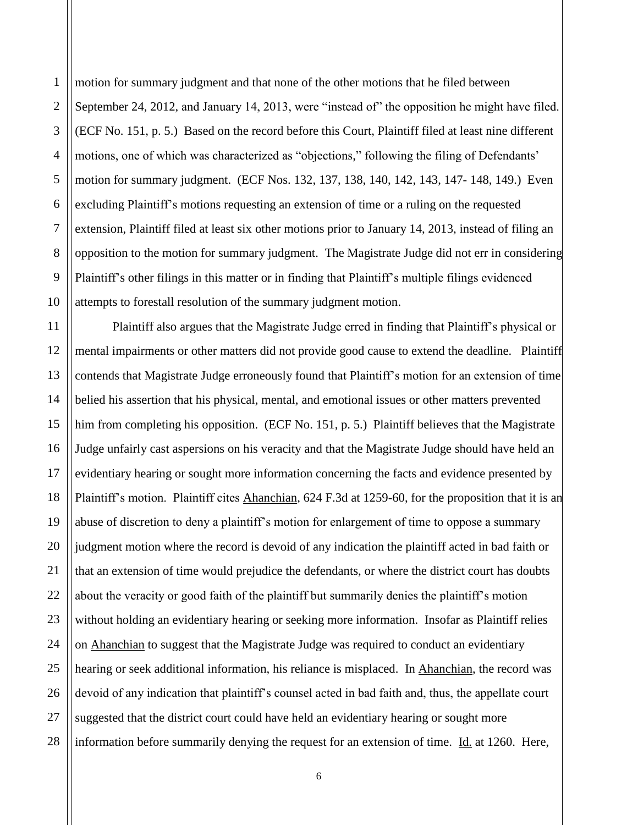2 3 4 5 6 7 8 9 10 motion for summary judgment and that none of the other motions that he filed between September 24, 2012, and January 14, 2013, were "instead of" the opposition he might have filed. (ECF No. 151, p. 5.) Based on the record before this Court, Plaintiff filed at least nine different motions, one of which was characterized as "objections," following the filing of Defendants' motion for summary judgment. (ECF Nos. 132, 137, 138, 140, 142, 143, 147- 148, 149.) Even excluding Plaintiff"s motions requesting an extension of time or a ruling on the requested extension, Plaintiff filed at least six other motions prior to January 14, 2013, instead of filing an opposition to the motion for summary judgment. The Magistrate Judge did not err in considering Plaintiff"s other filings in this matter or in finding that Plaintiff"s multiple filings evidenced attempts to forestall resolution of the summary judgment motion.

11 12 13 14 15 16 17 18 19 20 21 22 23 28 Plaintiff also argues that the Magistrate Judge erred in finding that Plaintiff"s physical or mental impairments or other matters did not provide good cause to extend the deadline. Plaintiff contends that Magistrate Judge erroneously found that Plaintiff"s motion for an extension of time belied his assertion that his physical, mental, and emotional issues or other matters prevented him from completing his opposition. (ECF No. 151, p. 5.) Plaintiff believes that the Magistrate Judge unfairly cast aspersions on his veracity and that the Magistrate Judge should have held an evidentiary hearing or sought more information concerning the facts and evidence presented by Plaintiff's motion. Plaintiff cites Ahanchian, 624 F.3d at 1259-60, for the proposition that it is an abuse of discretion to deny a plaintiff"s motion for enlargement of time to oppose a summary judgment motion where the record is devoid of any indication the plaintiff acted in bad faith or that an extension of time would prejudice the defendants, or where the district court has doubts about the veracity or good faith of the plaintiff but summarily denies the plaintiff"s motion without holding an evidentiary hearing or seeking more information. Insofar as Plaintiff relies on Ahanchian to suggest that the Magistrate Judge was required to conduct an evidentiary hearing or seek additional information, his reliance is misplaced. In Ahanchian, the record was devoid of any indication that plaintiff"s counsel acted in bad faith and, thus, the appellate court suggested that the district court could have held an evidentiary hearing or sought more information before summarily denying the request for an extension of time. Id. at 1260. Here,

1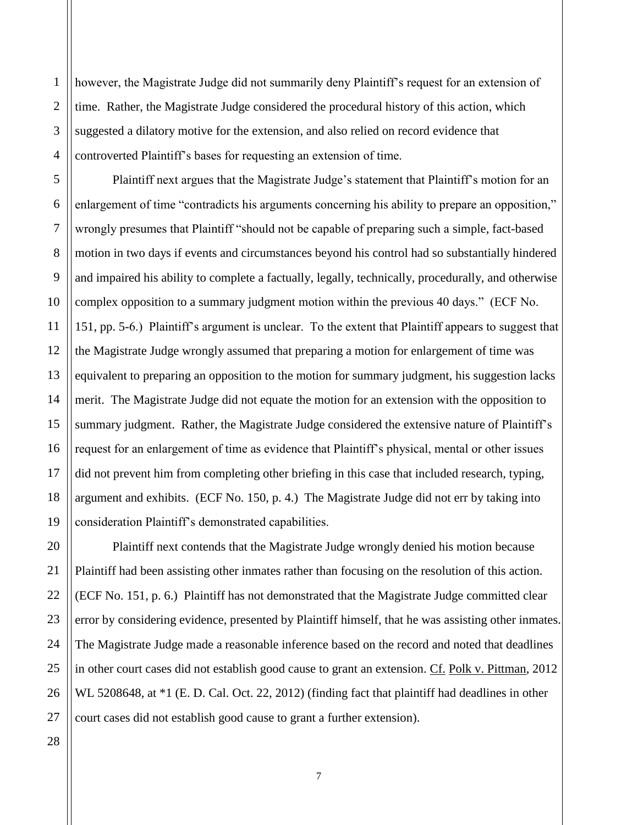however, the Magistrate Judge did not summarily deny Plaintiff"s request for an extension of time. Rather, the Magistrate Judge considered the procedural history of this action, which suggested a dilatory motive for the extension, and also relied on record evidence that controverted Plaintiff"s bases for requesting an extension of time.

Plaintiff next argues that the Magistrate Judge"s statement that Plaintiff"s motion for an enlargement of time "contradicts his arguments concerning his ability to prepare an opposition," wrongly presumes that Plaintiff "should not be capable of preparing such a simple, fact-based motion in two days if events and circumstances beyond his control had so substantially hindered and impaired his ability to complete a factually, legally, technically, procedurally, and otherwise complex opposition to a summary judgment motion within the previous 40 days." (ECF No. 151, pp. 5-6.) Plaintiff"s argument is unclear. To the extent that Plaintiff appears to suggest that the Magistrate Judge wrongly assumed that preparing a motion for enlargement of time was equivalent to preparing an opposition to the motion for summary judgment, his suggestion lacks merit. The Magistrate Judge did not equate the motion for an extension with the opposition to summary judgment. Rather, the Magistrate Judge considered the extensive nature of Plaintiff's request for an enlargement of time as evidence that Plaintiff"s physical, mental or other issues did not prevent him from completing other briefing in this case that included research, typing, argument and exhibits. (ECF No. 150, p. 4.) The Magistrate Judge did not err by taking into consideration Plaintiff"s demonstrated capabilities.

Plaintiff next contends that the Magistrate Judge wrongly denied his motion because Plaintiff had been assisting other inmates rather than focusing on the resolution of this action. (ECF No. 151, p. 6.) Plaintiff has not demonstrated that the Magistrate Judge committed clear error by considering evidence, presented by Plaintiff himself, that he was assisting other inmates. The Magistrate Judge made a reasonable inference based on the record and noted that deadlines in other court cases did not establish good cause to grant an extension. Cf. Polk v. Pittman, 2012 WL 5208648, at \*1 (E. D. Cal. Oct. 22, 2012) (finding fact that plaintiff had deadlines in other court cases did not establish good cause to grant a further extension).

1

2